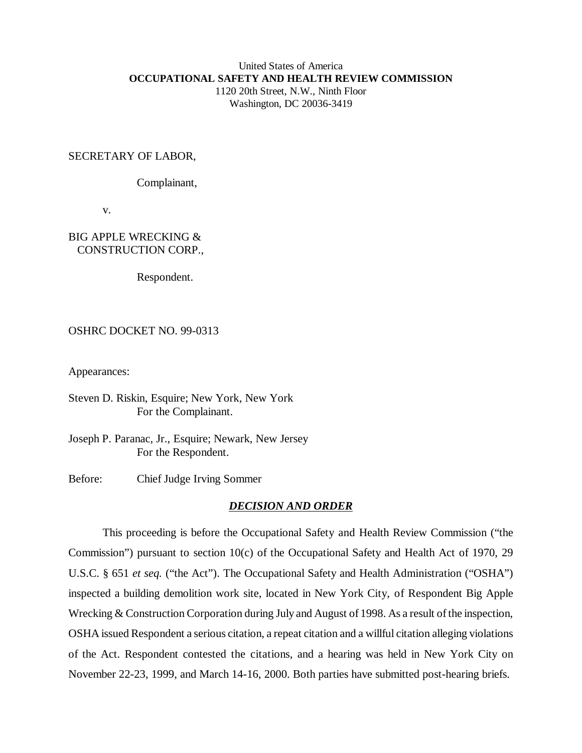## United States of America **OCCUPATIONAL SAFETY AND HEALTH REVIEW COMMISSION** 1120 20th Street, N.W., Ninth Floor Washington, DC 20036-3419

## SECRETARY OF LABOR,

Complainant,

v.

## BIG APPLE WRECKING & CONSTRUCTION CORP.,

Respondent.

## OSHRC DOCKET NO. 99-0313

Appearances:

Steven D. Riskin, Esquire; New York, New York For the Complainant.

Joseph P. Paranac, Jr., Esquire; Newark, New Jersey For the Respondent.

Before: Chief Judge Irving Sommer

#### *DECISION AND ORDER*

This proceeding is before the Occupational Safety and Health Review Commission ("the Commission") pursuant to section 10(c) of the Occupational Safety and Health Act of 1970, 29 U.S.C. § 651 *et seq.* ("the Act"). The Occupational Safety and Health Administration ("OSHA") inspected a building demolition work site, located in New York City, of Respondent Big Apple Wrecking & Construction Corporation during July and August of 1998. As a result of the inspection, OSHA issued Respondent a serious citation, a repeat citation and a willful citation alleging violations of the Act. Respondent contested the citations, and a hearing was held in New York City on November 22-23, 1999, and March 14-16, 2000. Both parties have submitted post-hearing briefs.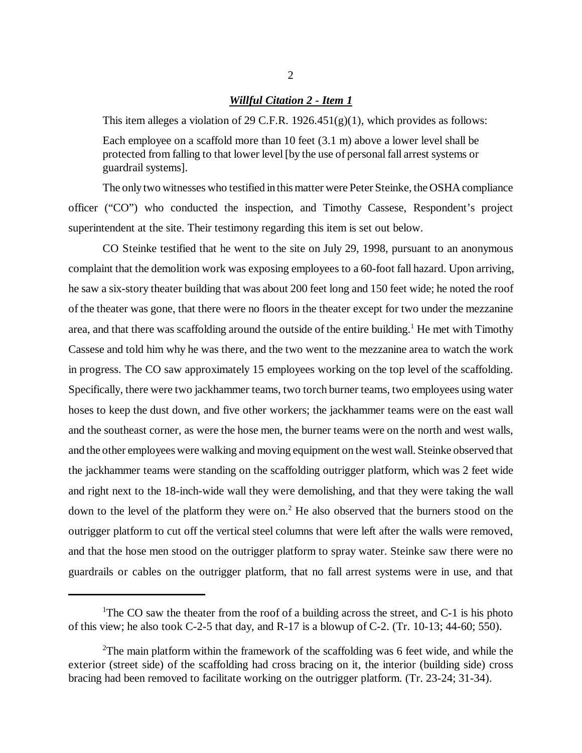#### *Willful Citation 2 - Item 1*

This item alleges a violation of 29 C.F.R.  $1926.451(g)(1)$ , which provides as follows: Each employee on a scaffold more than 10 feet (3.1 m) above a lower level shall be protected from falling to that lower level [by the use of personal fall arrest systems or

guardrail systems].

The only two witnesses who testified in this matter were Peter Steinke, the OSHA compliance officer ("CO") who conducted the inspection, and Timothy Cassese, Respondent's project superintendent at the site. Their testimony regarding this item is set out below.

CO Steinke testified that he went to the site on July 29, 1998, pursuant to an anonymous complaint that the demolition work was exposing employees to a 60-foot fall hazard. Upon arriving, he saw a six-story theater building that was about 200 feet long and 150 feet wide; he noted the roof of the theater was gone, that there were no floors in the theater except for two under the mezzanine area, and that there was scaffolding around the outside of the entire building.<sup>1</sup> He met with Timothy Cassese and told him why he was there, and the two went to the mezzanine area to watch the work in progress. The CO saw approximately 15 employees working on the top level of the scaffolding. Specifically, there were two jackhammer teams, two torch burner teams, two employees using water hoses to keep the dust down, and five other workers; the jackhammer teams were on the east wall and the southeast corner, as were the hose men, the burner teams were on the north and west walls, and the other employees were walking and moving equipment on the west wall. Steinke observed that the jackhammer teams were standing on the scaffolding outrigger platform, which was 2 feet wide and right next to the 18-inch-wide wall they were demolishing, and that they were taking the wall down to the level of the platform they were on.<sup>2</sup> He also observed that the burners stood on the outrigger platform to cut off the vertical steel columns that were left after the walls were removed, and that the hose men stood on the outrigger platform to spray water. Steinke saw there were no guardrails or cables on the outrigger platform, that no fall arrest systems were in use, and that

<sup>&</sup>lt;sup>1</sup>The CO saw the theater from the roof of a building across the street, and C-1 is his photo of this view; he also took C-2-5 that day, and R-17 is a blowup of C-2. (Tr. 10-13; 44-60; 550).

<sup>&</sup>lt;sup>2</sup>The main platform within the framework of the scaffolding was 6 feet wide, and while the exterior (street side) of the scaffolding had cross bracing on it, the interior (building side) cross bracing had been removed to facilitate working on the outrigger platform. (Tr. 23-24; 31-34).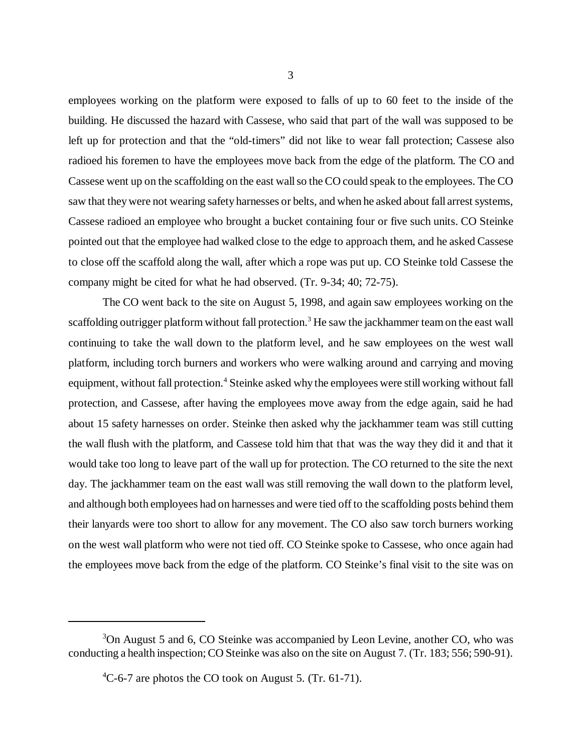employees working on the platform were exposed to falls of up to 60 feet to the inside of the building. He discussed the hazard with Cassese, who said that part of the wall was supposed to be left up for protection and that the "old-timers" did not like to wear fall protection; Cassese also radioed his foremen to have the employees move back from the edge of the platform. The CO and Cassese went up on the scaffolding on the east wall so the CO could speak to the employees. The CO saw that they were not wearing safety harnesses or belts, and when he asked about fall arrest systems, Cassese radioed an employee who brought a bucket containing four or five such units. CO Steinke pointed out that the employee had walked close to the edge to approach them, and he asked Cassese to close off the scaffold along the wall, after which a rope was put up. CO Steinke told Cassese the company might be cited for what he had observed. (Tr. 9-34; 40; 72-75).

The CO went back to the site on August 5, 1998, and again saw employees working on the scaffolding outrigger platform without fall protection.<sup>3</sup> He saw the jackhammer team on the east wall continuing to take the wall down to the platform level, and he saw employees on the west wall platform, including torch burners and workers who were walking around and carrying and moving equipment, without fall protection.<sup>4</sup> Steinke asked why the employees were still working without fall protection, and Cassese, after having the employees move away from the edge again, said he had about 15 safety harnesses on order. Steinke then asked why the jackhammer team was still cutting the wall flush with the platform, and Cassese told him that that was the way they did it and that it would take too long to leave part of the wall up for protection. The CO returned to the site the next day. The jackhammer team on the east wall was still removing the wall down to the platform level, and although both employees had on harnesses and were tied off to the scaffolding posts behind them their lanyards were too short to allow for any movement. The CO also saw torch burners working on the west wall platform who were not tied off. CO Steinke spoke to Cassese, who once again had the employees move back from the edge of the platform. CO Steinke's final visit to the site was on

<sup>&</sup>lt;sup>3</sup>On August 5 and 6, CO Steinke was accompanied by Leon Levine, another CO, who was conducting a health inspection; CO Steinke was also on the site on August 7. (Tr. 183; 556; 590-91).

 ${}^{4}$ C-6-7 are photos the CO took on August 5. (Tr. 61-71).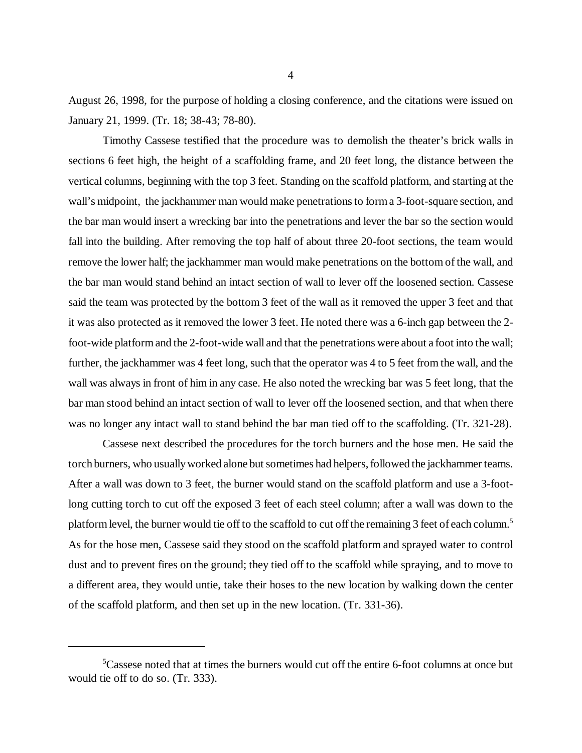August 26, 1998, for the purpose of holding a closing conference, and the citations were issued on January 21, 1999. (Tr. 18; 38-43; 78-80).

Timothy Cassese testified that the procedure was to demolish the theater's brick walls in sections 6 feet high, the height of a scaffolding frame, and 20 feet long, the distance between the vertical columns, beginning with the top 3 feet. Standing on the scaffold platform, and starting at the wall's midpoint, the jackhammer man would make penetrations to form a 3-foot-square section, and the bar man would insert a wrecking bar into the penetrations and lever the bar so the section would fall into the building. After removing the top half of about three 20-foot sections, the team would remove the lower half; the jackhammer man would make penetrations on the bottom of the wall, and the bar man would stand behind an intact section of wall to lever off the loosened section. Cassese said the team was protected by the bottom 3 feet of the wall as it removed the upper 3 feet and that it was also protected as it removed the lower 3 feet. He noted there was a 6-inch gap between the 2 foot-wide platform and the 2-foot-wide wall and that the penetrations were about a foot into the wall; further, the jackhammer was 4 feet long, such that the operator was 4 to 5 feet from the wall, and the wall was always in front of him in any case. He also noted the wrecking bar was 5 feet long, that the bar man stood behind an intact section of wall to lever off the loosened section, and that when there was no longer any intact wall to stand behind the bar man tied off to the scaffolding. (Tr. 321-28).

Cassese next described the procedures for the torch burners and the hose men. He said the torch burners, who usually worked alone but sometimes had helpers, followed the jackhammer teams. After a wall was down to 3 feet, the burner would stand on the scaffold platform and use a 3-footlong cutting torch to cut off the exposed 3 feet of each steel column; after a wall was down to the platform level, the burner would tie off to the scaffold to cut off the remaining 3 feet of each column.<sup>5</sup> As for the hose men, Cassese said they stood on the scaffold platform and sprayed water to control dust and to prevent fires on the ground; they tied off to the scaffold while spraying, and to move to a different area, they would untie, take their hoses to the new location by walking down the center of the scaffold platform, and then set up in the new location. (Tr. 331-36).

<sup>&</sup>lt;sup>5</sup>Cassese noted that at times the burners would cut off the entire 6-foot columns at once but would tie off to do so. (Tr. 333).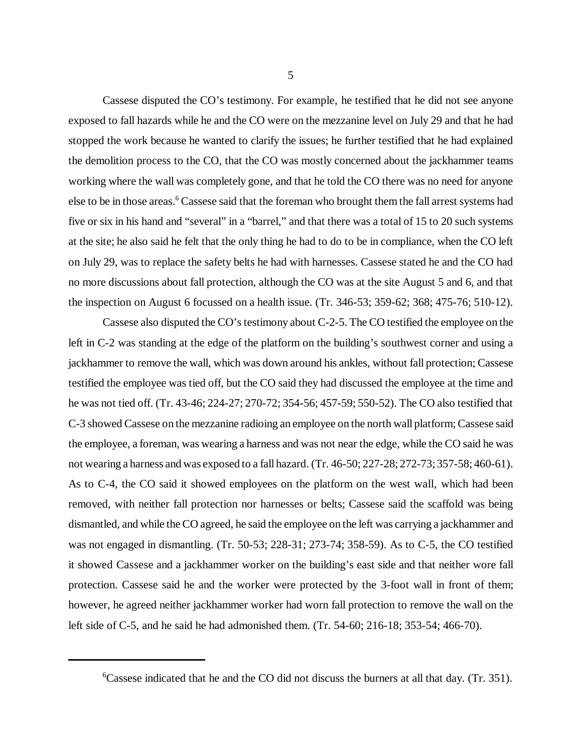Cassese disputed the CO's testimony. For example, he testified that he did not see anyone exposed to fall hazards while he and the CO were on the mezzanine level on July 29 and that he had stopped the work because he wanted to clarify the issues; he further testified that he had explained the demolition process to the CO, that the CO was mostly concerned about the jackhammer teams working where the wall was completely gone, and that he told the CO there was no need for anyone else to be in those areas.<sup>6</sup> Cassese said that the foreman who brought them the fall arrest systems had five or six in his hand and "several" in a "barrel," and that there was a total of 15 to 20 such systems at the site; he also said he felt that the only thing he had to do to be in compliance, when the CO left on July 29, was to replace the safety belts he had with harnesses. Cassese stated he and the CO had no more discussions about fall protection, although the CO was at the site August 5 and 6, and that the inspection on August 6 focussed on a health issue. (Tr. 346-53; 359-62; 368; 475-76; 510-12).

Cassese also disputed the CO's testimony about C-2-5. The CO testified the employee on the left in C-2 was standing at the edge of the platform on the building's southwest corner and using a jackhammer to remove the wall, which was down around his ankles, without fall protection; Cassese testified the employee was tied off, but the CO said they had discussed the employee at the time and he was not tied off. (Tr. 43-46; 224-27; 270-72; 354-56; 457-59; 550-52). The CO also testified that C-3 showed Cassese on the mezzanine radioing an employee on the north wall platform; Cassese said the employee, a foreman, was wearing a harness and was not near the edge, while the CO said he was not wearing a harness and was exposed to a fall hazard. (Tr. 46-50; 227-28; 272-73; 357-58; 460-61). As to C-4, the CO said it showed employees on the platform on the west wall, which had been removed, with neither fall protection nor harnesses or belts; Cassese said the scaffold was being dismantled, and while the CO agreed, he said the employee on the left was carrying a jackhammer and was not engaged in dismantling. (Tr. 50-53; 228-31; 273-74; 358-59). As to C-5, the CO testified it showed Cassese and a jackhammer worker on the building's east side and that neither wore fall protection. Cassese said he and the worker were protected by the 3-foot wall in front of them; however, he agreed neither jackhammer worker had worn fall protection to remove the wall on the left side of C-5, and he said he had admonished them. (Tr. 54-60; 216-18; 353-54; 466-70).

<sup>&</sup>lt;sup>6</sup>Cassese indicated that he and the CO did not discuss the burners at all that day. (Tr. 351).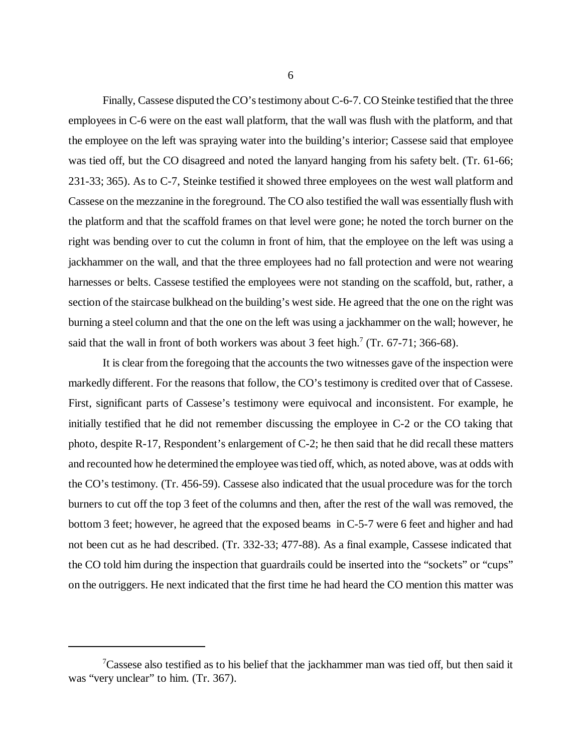Finally, Cassese disputed the CO's testimony about C-6-7. CO Steinke testified that the three employees in C-6 were on the east wall platform, that the wall was flush with the platform, and that the employee on the left was spraying water into the building's interior; Cassese said that employee was tied off, but the CO disagreed and noted the lanyard hanging from his safety belt. (Tr. 61-66; 231-33; 365). As to C-7, Steinke testified it showed three employees on the west wall platform and Cassese on the mezzanine in the foreground. The CO also testified the wall was essentially flush with the platform and that the scaffold frames on that level were gone; he noted the torch burner on the right was bending over to cut the column in front of him, that the employee on the left was using a jackhammer on the wall, and that the three employees had no fall protection and were not wearing harnesses or belts. Cassese testified the employees were not standing on the scaffold, but, rather, a section of the staircase bulkhead on the building's west side. He agreed that the one on the right was burning a steel column and that the one on the left was using a jackhammer on the wall; however, he said that the wall in front of both workers was about 3 feet high.<sup>7</sup> (Tr. 67-71; 366-68).

It is clear from the foregoing that the accounts the two witnesses gave of the inspection were markedly different. For the reasons that follow, the CO's testimony is credited over that of Cassese. First, significant parts of Cassese's testimony were equivocal and inconsistent. For example, he initially testified that he did not remember discussing the employee in C-2 or the CO taking that photo, despite R-17, Respondent's enlargement of C-2; he then said that he did recall these matters and recounted how he determined the employee was tied off, which, as noted above, was at odds with the CO's testimony. (Tr. 456-59). Cassese also indicated that the usual procedure was for the torch burners to cut off the top 3 feet of the columns and then, after the rest of the wall was removed, the bottom 3 feet; however, he agreed that the exposed beams in C-5-7 were 6 feet and higher and had not been cut as he had described. (Tr. 332-33; 477-88). As a final example, Cassese indicated that the CO told him during the inspection that guardrails could be inserted into the "sockets" or "cups" on the outriggers. He next indicated that the first time he had heard the CO mention this matter was

 $7$ Cassese also testified as to his belief that the jackhammer man was tied off, but then said it was "very unclear" to him. (Tr. 367).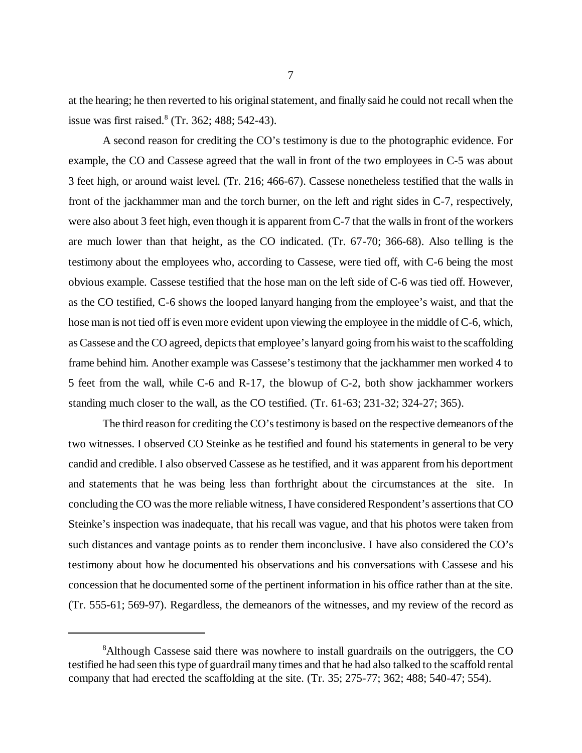at the hearing; he then reverted to his original statement, and finally said he could not recall when the issue was first raised.<sup>8</sup> (Tr. 362; 488; 542-43).

A second reason for crediting the CO's testimony is due to the photographic evidence. For example, the CO and Cassese agreed that the wall in front of the two employees in C-5 was about 3 feet high, or around waist level. (Tr. 216; 466-67). Cassese nonetheless testified that the walls in front of the jackhammer man and the torch burner, on the left and right sides in C-7, respectively, were also about 3 feet high, even though it is apparent from C-7 that the walls in front of the workers are much lower than that height, as the CO indicated. (Tr. 67-70; 366-68). Also telling is the testimony about the employees who, according to Cassese, were tied off, with C-6 being the most obvious example. Cassese testified that the hose man on the left side of C-6 was tied off. However, as the CO testified, C-6 shows the looped lanyard hanging from the employee's waist, and that the hose man is not tied off is even more evident upon viewing the employee in the middle of C-6, which, as Cassese and the CO agreed, depicts that employee's lanyard going from his waist to the scaffolding frame behind him. Another example was Cassese's testimony that the jackhammer men worked 4 to 5 feet from the wall, while C-6 and R-17, the blowup of C-2, both show jackhammer workers standing much closer to the wall, as the CO testified. (Tr. 61-63; 231-32; 324-27; 365).

The third reason for crediting the CO's testimony is based on the respective demeanors of the two witnesses. I observed CO Steinke as he testified and found his statements in general to be very candid and credible. I also observed Cassese as he testified, and it was apparent from his deportment and statements that he was being less than forthright about the circumstances at the site. In concluding the CO was the more reliable witness, I have considered Respondent's assertions that CO Steinke's inspection was inadequate, that his recall was vague, and that his photos were taken from such distances and vantage points as to render them inconclusive. I have also considered the CO's testimony about how he documented his observations and his conversations with Cassese and his concession that he documented some of the pertinent information in his office rather than at the site. (Tr. 555-61; 569-97). Regardless, the demeanors of the witnesses, and my review of the record as

<sup>&</sup>lt;sup>8</sup>Although Cassese said there was nowhere to install guardrails on the outriggers, the CO testified he had seen this type of guardrail many times and that he had also talked to the scaffold rental company that had erected the scaffolding at the site. (Tr. 35; 275-77; 362; 488; 540-47; 554).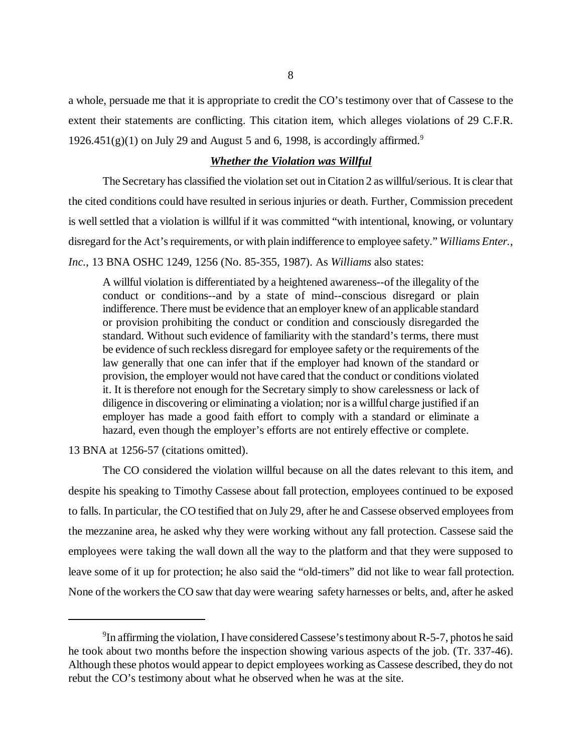a whole, persuade me that it is appropriate to credit the CO's testimony over that of Cassese to the extent their statements are conflicting. This citation item, which alleges violations of 29 C.F.R. 1926.451(g)(1) on July 29 and August 5 and 6, 1998, is accordingly affirmed.<sup>9</sup>

### *Whether the Violation was Willful*

The Secretary has classified the violation set out in Citation 2 as willful/serious. It is clear that the cited conditions could have resulted in serious injuries or death. Further, Commission precedent is well settled that a violation is willful if it was committed "with intentional, knowing, or voluntary disregard for the Act's requirements, or with plain indifference to employee safety." *Williams Enter., Inc.*, 13 BNA OSHC 1249, 1256 (No. 85-355, 1987). As *Williams* also states:

A willful violation is differentiated by a heightened awareness--of the illegality of the conduct or conditions--and by a state of mind--conscious disregard or plain indifference. There must be evidence that an employer knew of an applicable standard or provision prohibiting the conduct or condition and consciously disregarded the standard. Without such evidence of familiarity with the standard's terms, there must be evidence of such reckless disregard for employee safety or the requirements of the law generally that one can infer that if the employer had known of the standard or provision, the employer would not have cared that the conduct or conditions violated it. It is therefore not enough for the Secretary simply to show carelessness or lack of diligence in discovering or eliminating a violation; nor is a willful charge justified if an employer has made a good faith effort to comply with a standard or eliminate a hazard, even though the employer's efforts are not entirely effective or complete.

13 BNA at 1256-57 (citations omitted).

The CO considered the violation willful because on all the dates relevant to this item, and despite his speaking to Timothy Cassese about fall protection, employees continued to be exposed to falls. In particular, the CO testified that on July 29, after he and Cassese observed employees from the mezzanine area, he asked why they were working without any fall protection. Cassese said the employees were taking the wall down all the way to the platform and that they were supposed to leave some of it up for protection; he also said the "old-timers" did not like to wear fall protection. None of the workers the CO saw that day were wearing safety harnesses or belts, and, after he asked

<sup>&</sup>lt;sup>9</sup>In affirming the violation, I have considered Cassese's testimony about R-5-7, photos he said he took about two months before the inspection showing various aspects of the job. (Tr. 337-46). Although these photos would appear to depict employees working as Cassese described, they do not rebut the CO's testimony about what he observed when he was at the site.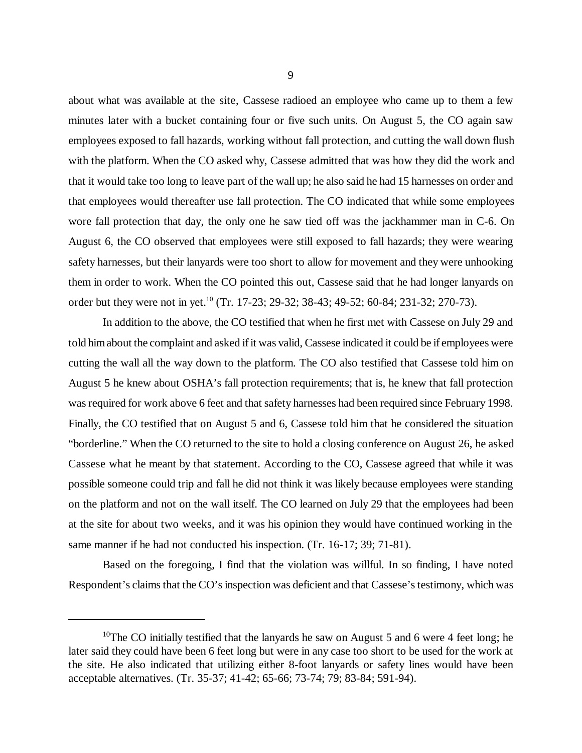about what was available at the site, Cassese radioed an employee who came up to them a few minutes later with a bucket containing four or five such units. On August 5, the CO again saw employees exposed to fall hazards, working without fall protection, and cutting the wall down flush with the platform. When the CO asked why, Cassese admitted that was how they did the work and that it would take too long to leave part of the wall up; he also said he had 15 harnesses on order and that employees would thereafter use fall protection. The CO indicated that while some employees wore fall protection that day, the only one he saw tied off was the jackhammer man in C-6. On August 6, the CO observed that employees were still exposed to fall hazards; they were wearing safety harnesses, but their lanyards were too short to allow for movement and they were unhooking them in order to work. When the CO pointed this out, Cassese said that he had longer lanyards on order but they were not in yet.<sup>10</sup> (Tr. 17-23; 29-32; 38-43; 49-52; 60-84; 231-32; 270-73).

In addition to the above, the CO testified that when he first met with Cassese on July 29 and told him about the complaint and asked if it was valid, Cassese indicated it could be if employees were cutting the wall all the way down to the platform. The CO also testified that Cassese told him on August 5 he knew about OSHA's fall protection requirements; that is, he knew that fall protection was required for work above 6 feet and that safety harnesses had been required since February 1998. Finally, the CO testified that on August 5 and 6, Cassese told him that he considered the situation "borderline." When the CO returned to the site to hold a closing conference on August 26, he asked Cassese what he meant by that statement. According to the CO, Cassese agreed that while it was possible someone could trip and fall he did not think it was likely because employees were standing on the platform and not on the wall itself. The CO learned on July 29 that the employees had been at the site for about two weeks, and it was his opinion they would have continued working in the same manner if he had not conducted his inspection. (Tr. 16-17; 39; 71-81).

Based on the foregoing, I find that the violation was willful. In so finding, I have noted Respondent's claims that the CO's inspection was deficient and that Cassese's testimony, which was

<sup>&</sup>lt;sup>10</sup>The CO initially testified that the lanyards he saw on August 5 and 6 were 4 feet long; he later said they could have been 6 feet long but were in any case too short to be used for the work at the site. He also indicated that utilizing either 8-foot lanyards or safety lines would have been acceptable alternatives. (Tr. 35-37; 41-42; 65-66; 73-74; 79; 83-84; 591-94).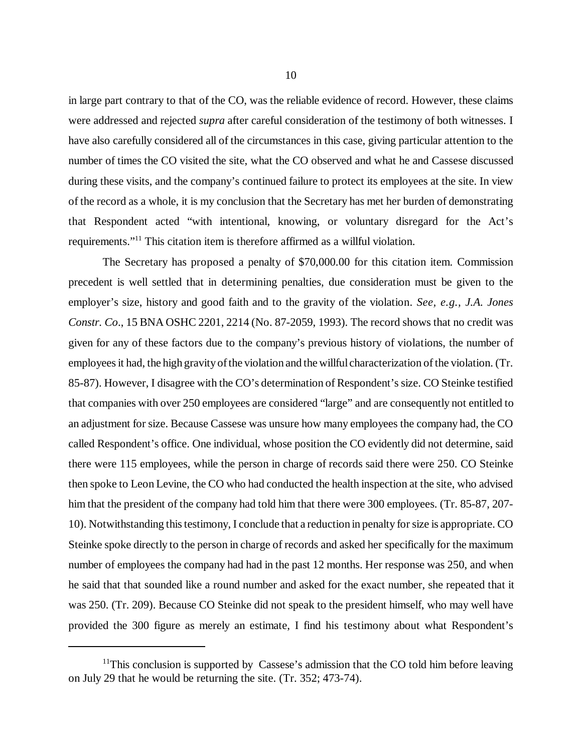in large part contrary to that of the CO, was the reliable evidence of record. However, these claims were addressed and rejected *supra* after careful consideration of the testimony of both witnesses. I have also carefully considered all of the circumstances in this case, giving particular attention to the number of times the CO visited the site, what the CO observed and what he and Cassese discussed during these visits, and the company's continued failure to protect its employees at the site. In view of the record as a whole, it is my conclusion that the Secretary has met her burden of demonstrating that Respondent acted "with intentional, knowing, or voluntary disregard for the Act's requirements."11 This citation item is therefore affirmed as a willful violation.

The Secretary has proposed a penalty of \$70,000.00 for this citation item. Commission precedent is well settled that in determining penalties, due consideration must be given to the employer's size, history and good faith and to the gravity of the violation. *See, e.g., J.A. Jones Constr. Co*., 15 BNA OSHC 2201, 2214 (No. 87-2059, 1993). The record shows that no credit was given for any of these factors due to the company's previous history of violations, the number of employees it had, the high gravity of the violation and the willful characterization of the violation. (Tr. 85-87). However, I disagree with the CO's determination of Respondent's size. CO Steinke testified that companies with over 250 employees are considered "large" and are consequently not entitled to an adjustment for size. Because Cassese was unsure how many employees the company had, the CO called Respondent's office. One individual, whose position the CO evidently did not determine, said there were 115 employees, while the person in charge of records said there were 250. CO Steinke then spoke to Leon Levine, the CO who had conducted the health inspection at the site, who advised him that the president of the company had told him that there were 300 employees. (Tr. 85-87, 207- 10). Notwithstanding this testimony, I conclude that a reduction in penalty for size is appropriate. CO Steinke spoke directly to the person in charge of records and asked her specifically for the maximum number of employees the company had had in the past 12 months. Her response was 250, and when he said that that sounded like a round number and asked for the exact number, she repeated that it was 250. (Tr. 209). Because CO Steinke did not speak to the president himself, who may well have provided the 300 figure as merely an estimate, I find his testimony about what Respondent's

 $11$ This conclusion is supported by Cassese's admission that the CO told him before leaving on July 29 that he would be returning the site. (Tr. 352; 473-74).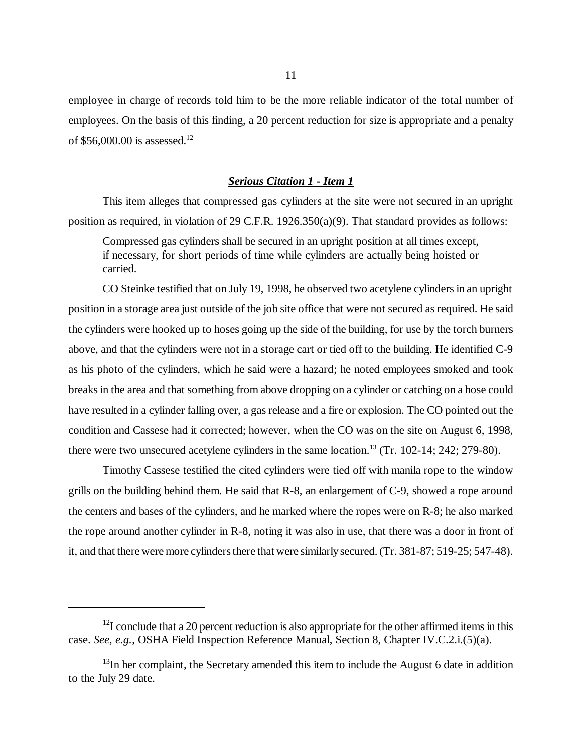employee in charge of records told him to be the more reliable indicator of the total number of employees. On the basis of this finding, a 20 percent reduction for size is appropriate and a penalty of \$56,000.00 is assessed.12

#### *Serious Citation 1 - Item 1*

This item alleges that compressed gas cylinders at the site were not secured in an upright position as required, in violation of 29 C.F.R. 1926.350(a)(9). That standard provides as follows:

Compressed gas cylinders shall be secured in an upright position at all times except, if necessary, for short periods of time while cylinders are actually being hoisted or carried.

CO Steinke testified that on July 19, 1998, he observed two acetylene cylinders in an upright position in a storage area just outside of the job site office that were not secured as required. He said the cylinders were hooked up to hoses going up the side of the building, for use by the torch burners above, and that the cylinders were not in a storage cart or tied off to the building. He identified C-9 as his photo of the cylinders, which he said were a hazard; he noted employees smoked and took breaks in the area and that something from above dropping on a cylinder or catching on a hose could have resulted in a cylinder falling over, a gas release and a fire or explosion. The CO pointed out the condition and Cassese had it corrected; however, when the CO was on the site on August 6, 1998, there were two unsecured acetylene cylinders in the same location.<sup>13</sup> (Tr. 102-14; 242; 279-80).

Timothy Cassese testified the cited cylinders were tied off with manila rope to the window grills on the building behind them. He said that R-8, an enlargement of C-9, showed a rope around the centers and bases of the cylinders, and he marked where the ropes were on R-8; he also marked the rope around another cylinder in R-8, noting it was also in use, that there was a door in front of it, and that there were more cylinders there that were similarly secured. (Tr. 381-87; 519-25; 547-48).

 $12$ I conclude that a 20 percent reduction is also appropriate for the other affirmed items in this case. *See, e.g.*, OSHA Field Inspection Reference Manual, Section 8, Chapter IV.C.2.i.(5)(a).

 $13$ In her complaint, the Secretary amended this item to include the August 6 date in addition to the July 29 date.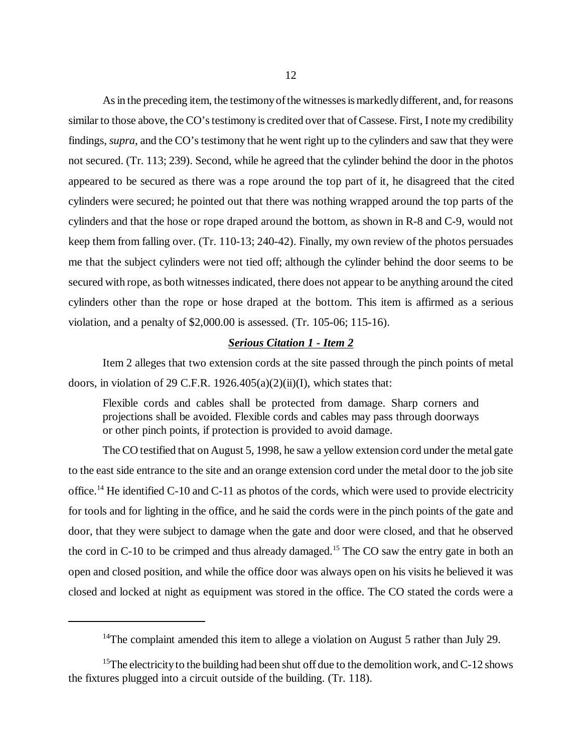As in the preceding item, the testimony of the witnesses is markedly different, and, for reasons similar to those above, the CO's testimony is credited over that of Cassese. First, I note my credibility findings, *supra*, and the CO's testimony that he went right up to the cylinders and saw that they were not secured. (Tr. 113; 239). Second, while he agreed that the cylinder behind the door in the photos appeared to be secured as there was a rope around the top part of it, he disagreed that the cited cylinders were secured; he pointed out that there was nothing wrapped around the top parts of the cylinders and that the hose or rope draped around the bottom, as shown in R-8 and C-9, would not keep them from falling over. (Tr. 110-13; 240-42). Finally, my own review of the photos persuades me that the subject cylinders were not tied off; although the cylinder behind the door seems to be secured with rope, as both witnesses indicated, there does not appear to be anything around the cited cylinders other than the rope or hose draped at the bottom. This item is affirmed as a serious violation, and a penalty of \$2,000.00 is assessed. (Tr. 105-06; 115-16).

## *Serious Citation 1 - Item 2*

Item 2 alleges that two extension cords at the site passed through the pinch points of metal doors, in violation of 29 C.F.R. 1926.405(a)(2)(ii)(I), which states that:

Flexible cords and cables shall be protected from damage. Sharp corners and projections shall be avoided. Flexible cords and cables may pass through doorways or other pinch points, if protection is provided to avoid damage.

The CO testified that on August 5, 1998, he saw a yellow extension cord under the metal gate to the east side entrance to the site and an orange extension cord under the metal door to the job site office.<sup>14</sup> He identified C-10 and C-11 as photos of the cords, which were used to provide electricity for tools and for lighting in the office, and he said the cords were in the pinch points of the gate and door, that they were subject to damage when the gate and door were closed, and that he observed the cord in C-10 to be crimped and thus already damaged.<sup>15</sup> The CO saw the entry gate in both an open and closed position, and while the office door was always open on his visits he believed it was closed and locked at night as equipment was stored in the office. The CO stated the cords were a

<sup>&</sup>lt;sup>14</sup>The complaint amended this item to allege a violation on August 5 rather than July 29.

<sup>&</sup>lt;sup>15</sup>The electricity to the building had been shut off due to the demolition work, and C-12 shows the fixtures plugged into a circuit outside of the building. (Tr. 118).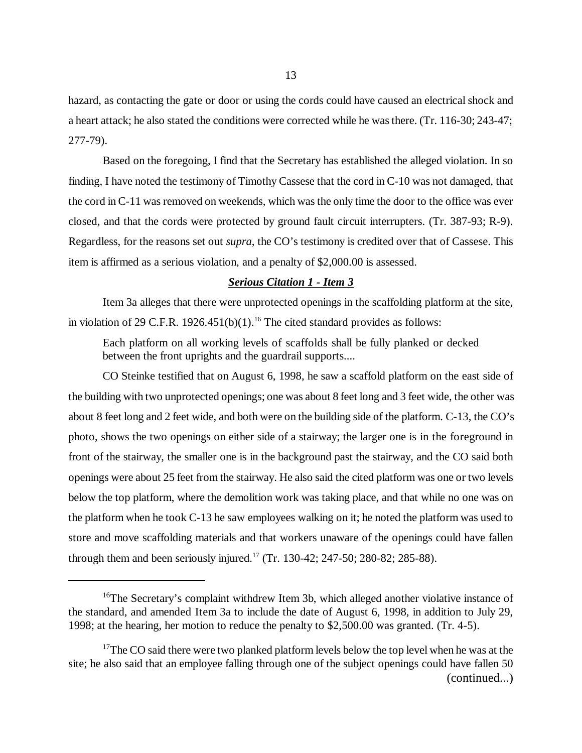hazard, as contacting the gate or door or using the cords could have caused an electrical shock and a heart attack; he also stated the conditions were corrected while he was there. (Tr. 116-30; 243-47; 277-79).

Based on the foregoing, I find that the Secretary has established the alleged violation. In so finding, I have noted the testimony of Timothy Cassese that the cord in C-10 was not damaged, that the cord in C-11 was removed on weekends, which was the only time the door to the office was ever closed, and that the cords were protected by ground fault circuit interrupters. (Tr. 387-93; R-9). Regardless, for the reasons set out *supra*, the CO's testimony is credited over that of Cassese. This item is affirmed as a serious violation, and a penalty of \$2,000.00 is assessed.

# *Serious Citation 1 - Item 3*

Item 3a alleges that there were unprotected openings in the scaffolding platform at the site, in violation of 29 C.F.R. 1926.451(b)(1).<sup>16</sup> The cited standard provides as follows:

Each platform on all working levels of scaffolds shall be fully planked or decked between the front uprights and the guardrail supports....

CO Steinke testified that on August 6, 1998, he saw a scaffold platform on the east side of the building with two unprotected openings; one was about 8 feet long and 3 feet wide, the other was about 8 feet long and 2 feet wide, and both were on the building side of the platform. C-13, the CO's photo, shows the two openings on either side of a stairway; the larger one is in the foreground in front of the stairway, the smaller one is in the background past the stairway, and the CO said both openings were about 25 feet from the stairway. He also said the cited platform was one or two levels below the top platform, where the demolition work was taking place, and that while no one was on the platform when he took C-13 he saw employees walking on it; he noted the platform was used to store and move scaffolding materials and that workers unaware of the openings could have fallen through them and been seriously injured.<sup>17</sup> (Tr. 130-42; 247-50; 280-82; 285-88).

<sup>&</sup>lt;sup>16</sup>The Secretary's complaint withdrew Item 3b, which alleged another violative instance of the standard, and amended Item 3a to include the date of August 6, 1998, in addition to July 29, 1998; at the hearing, her motion to reduce the penalty to \$2,500.00 was granted. (Tr. 4-5).

 $17$ The CO said there were two planked platform levels below the top level when he was at the site; he also said that an employee falling through one of the subject openings could have fallen 50 (continued...)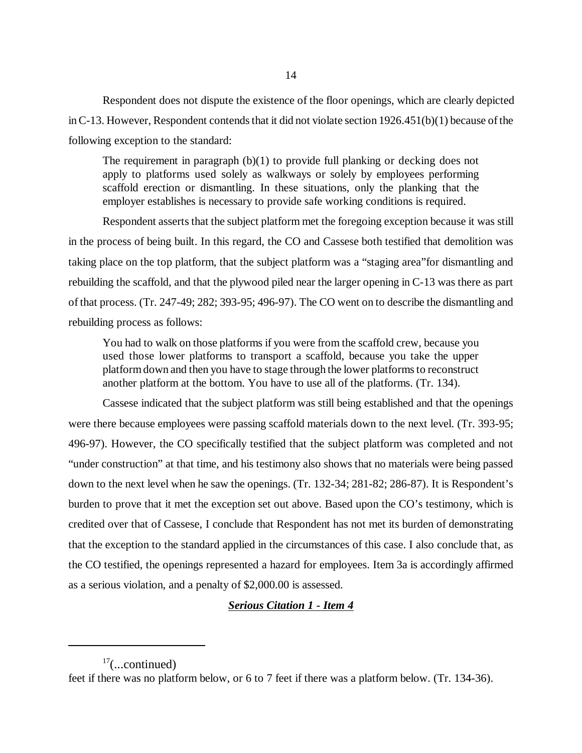Respondent does not dispute the existence of the floor openings, which are clearly depicted in C-13. However, Respondent contends that it did not violate section 1926.451(b)(1) because of the following exception to the standard:

The requirement in paragraph (b)(1) to provide full planking or decking does not apply to platforms used solely as walkways or solely by employees performing scaffold erection or dismantling. In these situations, only the planking that the employer establishes is necessary to provide safe working conditions is required.

Respondent asserts that the subject platform met the foregoing exception because it was still in the process of being built. In this regard, the CO and Cassese both testified that demolition was taking place on the top platform, that the subject platform was a "staging area"for dismantling and rebuilding the scaffold, and that the plywood piled near the larger opening in C-13 was there as part of that process. (Tr. 247-49; 282; 393-95; 496-97). The CO went on to describe the dismantling and rebuilding process as follows:

You had to walk on those platforms if you were from the scaffold crew, because you used those lower platforms to transport a scaffold, because you take the upper platform down and then you have to stage through the lower platforms to reconstruct another platform at the bottom. You have to use all of the platforms. (Tr. 134).

Cassese indicated that the subject platform was still being established and that the openings were there because employees were passing scaffold materials down to the next level. (Tr. 393-95; 496-97). However, the CO specifically testified that the subject platform was completed and not "under construction" at that time, and his testimony also shows that no materials were being passed down to the next level when he saw the openings. (Tr. 132-34; 281-82; 286-87). It is Respondent's burden to prove that it met the exception set out above. Based upon the CO's testimony, which is credited over that of Cassese, I conclude that Respondent has not met its burden of demonstrating that the exception to the standard applied in the circumstances of this case. I also conclude that, as the CO testified, the openings represented a hazard for employees. Item 3a is accordingly affirmed as a serious violation, and a penalty of \$2,000.00 is assessed.

# *Serious Citation 1 - Item 4*

 $17$ (...continued)

feet if there was no platform below, or 6 to 7 feet if there was a platform below. (Tr. 134-36).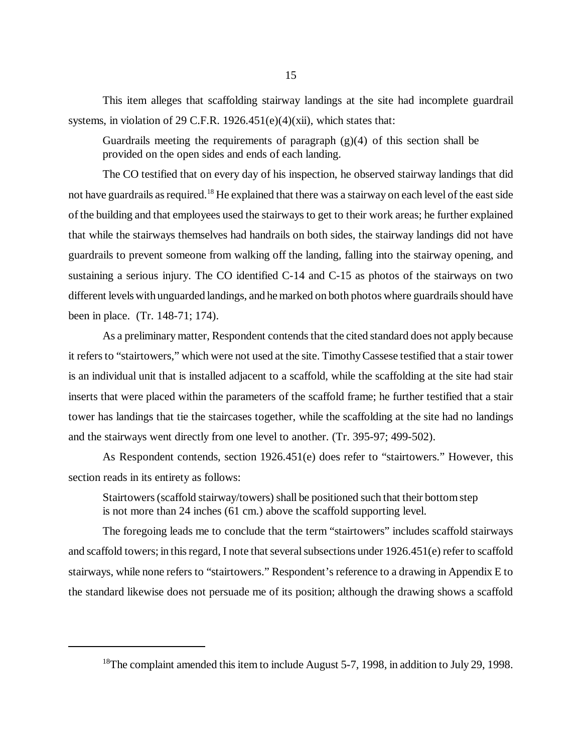This item alleges that scaffolding stairway landings at the site had incomplete guardrail systems, in violation of 29 C.F.R. 1926.451(e)(4)(xii), which states that:

Guardrails meeting the requirements of paragraph  $(g)(4)$  of this section shall be provided on the open sides and ends of each landing.

The CO testified that on every day of his inspection, he observed stairway landings that did not have guardrails as required.18 He explained that there was a stairway on each level of the east side of the building and that employees used the stairways to get to their work areas; he further explained that while the stairways themselves had handrails on both sides, the stairway landings did not have guardrails to prevent someone from walking off the landing, falling into the stairway opening, and sustaining a serious injury. The CO identified C-14 and C-15 as photos of the stairways on two different levels with unguarded landings, and he marked on both photos where guardrails should have been in place. (Tr. 148-71; 174).

As a preliminary matter, Respondent contends that the cited standard does not apply because it refers to "stairtowers," which were not used at the site. Timothy Cassese testified that a stair tower is an individual unit that is installed adjacent to a scaffold, while the scaffolding at the site had stair inserts that were placed within the parameters of the scaffold frame; he further testified that a stair tower has landings that tie the staircases together, while the scaffolding at the site had no landings and the stairways went directly from one level to another. (Tr. 395-97; 499-502).

As Respondent contends, section 1926.451(e) does refer to "stairtowers." However, this section reads in its entirety as follows:

Stairtowers (scaffold stairway/towers) shall be positioned such that their bottom step is not more than 24 inches (61 cm.) above the scaffold supporting level.

The foregoing leads me to conclude that the term "stairtowers" includes scaffold stairways and scaffold towers; in this regard, I note that several subsections under 1926.451(e) refer to scaffold stairways, while none refers to "stairtowers." Respondent's reference to a drawing in Appendix E to the standard likewise does not persuade me of its position; although the drawing shows a scaffold

<sup>&</sup>lt;sup>18</sup>The complaint amended this item to include August 5-7, 1998, in addition to July 29, 1998.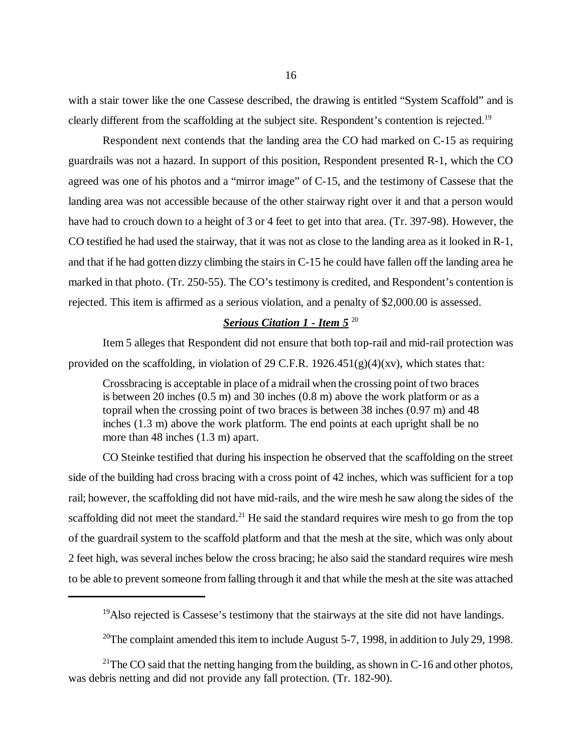with a stair tower like the one Cassese described, the drawing is entitled "System Scaffold" and is clearly different from the scaffolding at the subject site. Respondent's contention is rejected.19

Respondent next contends that the landing area the CO had marked on C-15 as requiring guardrails was not a hazard. In support of this position, Respondent presented R-1, which the CO agreed was one of his photos and a "mirror image" of C-15, and the testimony of Cassese that the landing area was not accessible because of the other stairway right over it and that a person would have had to crouch down to a height of 3 or 4 feet to get into that area. (Tr. 397-98). However, the CO testified he had used the stairway, that it was not as close to the landing area as it looked in R-1, and that if he had gotten dizzy climbing the stairs in C-15 he could have fallen off the landing area he marked in that photo. (Tr. 250-55). The CO's testimony is credited, and Respondent's contention is rejected. This item is affirmed as a serious violation, and a penalty of \$2,000.00 is assessed.

# *Serious Citation 1 - Item 5* <sup>20</sup>

Item 5 alleges that Respondent did not ensure that both top-rail and mid-rail protection was provided on the scaffolding, in violation of 29 C.F.R.  $1926.451(g)(4)(xy)$ , which states that:

Crossbracing is acceptable in place of a midrail when the crossing point of two braces is between 20 inches (0.5 m) and 30 inches (0.8 m) above the work platform or as a toprail when the crossing point of two braces is between 38 inches (0.97 m) and 48 inches (1.3 m) above the work platform. The end points at each upright shall be no more than 48 inches (1.3 m) apart.

CO Steinke testified that during his inspection he observed that the scaffolding on the street side of the building had cross bracing with a cross point of 42 inches, which was sufficient for a top rail; however, the scaffolding did not have mid-rails, and the wire mesh he saw along the sides of the scaffolding did not meet the standard.<sup>21</sup> He said the standard requires wire mesh to go from the top of the guardrail system to the scaffold platform and that the mesh at the site, which was only about 2 feet high, was several inches below the cross bracing; he also said the standard requires wire mesh to be able to prevent someone from falling through it and that while the mesh at the site was attached

<sup>&</sup>lt;sup>19</sup>Also rejected is Cassese's testimony that the stairways at the site did not have landings.

<sup>&</sup>lt;sup>20</sup>The complaint amended this item to include August 5-7, 1998, in addition to July 29, 1998.

<sup>&</sup>lt;sup>21</sup>The CO said that the netting hanging from the building, as shown in C-16 and other photos, was debris netting and did not provide any fall protection. (Tr. 182-90).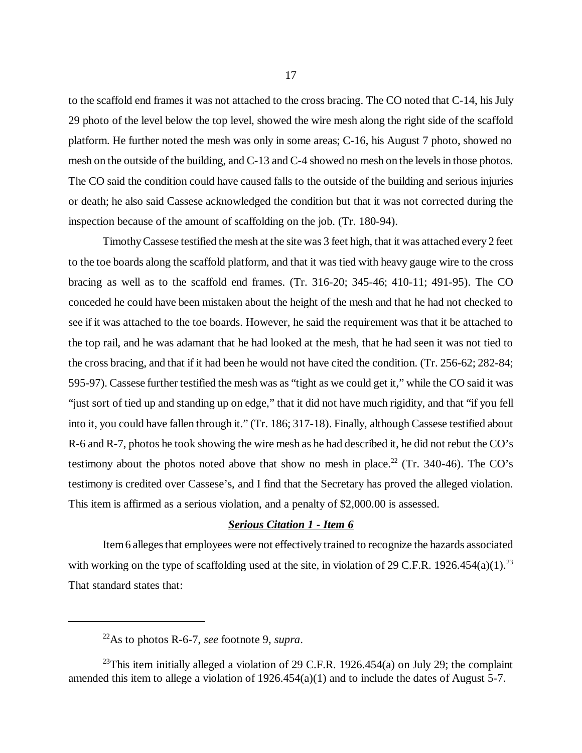to the scaffold end frames it was not attached to the cross bracing. The CO noted that C-14, his July 29 photo of the level below the top level, showed the wire mesh along the right side of the scaffold platform. He further noted the mesh was only in some areas; C-16, his August 7 photo, showed no mesh on the outside of the building, and C-13 and C-4 showed no mesh on the levels in those photos. The CO said the condition could have caused falls to the outside of the building and serious injuries or death; he also said Cassese acknowledged the condition but that it was not corrected during the inspection because of the amount of scaffolding on the job. (Tr. 180-94).

Timothy Cassese testified the mesh at the site was 3 feet high, that it was attached every 2 feet to the toe boards along the scaffold platform, and that it was tied with heavy gauge wire to the cross bracing as well as to the scaffold end frames. (Tr. 316-20; 345-46; 410-11; 491-95). The CO conceded he could have been mistaken about the height of the mesh and that he had not checked to see if it was attached to the toe boards. However, he said the requirement was that it be attached to the top rail, and he was adamant that he had looked at the mesh, that he had seen it was not tied to the cross bracing, and that if it had been he would not have cited the condition. (Tr. 256-62; 282-84; 595-97). Cassese further testified the mesh was as "tight as we could get it," while the CO said it was "just sort of tied up and standing up on edge," that it did not have much rigidity, and that "if you fell into it, you could have fallen through it." (Tr. 186; 317-18). Finally, although Cassese testified about R-6 and R-7, photos he took showing the wire mesh as he had described it, he did not rebut the CO's testimony about the photos noted above that show no mesh in place.<sup>22</sup> (Tr. 340-46). The CO's testimony is credited over Cassese's, and I find that the Secretary has proved the alleged violation. This item is affirmed as a serious violation, and a penalty of \$2,000.00 is assessed.

### *Serious Citation 1 - Item 6*

Item 6 alleges that employees were not effectively trained to recognize the hazards associated with working on the type of scaffolding used at the site, in violation of 29 C.F.R. 1926.454(a)(1).<sup>23</sup> That standard states that:

<sup>22</sup>As to photos R-6-7, *see* footnote 9, *supra*.

<sup>&</sup>lt;sup>23</sup>This item initially alleged a violation of 29 C.F.R. 1926.454(a) on July 29; the complaint amended this item to allege a violation of 1926.454(a)(1) and to include the dates of August 5-7.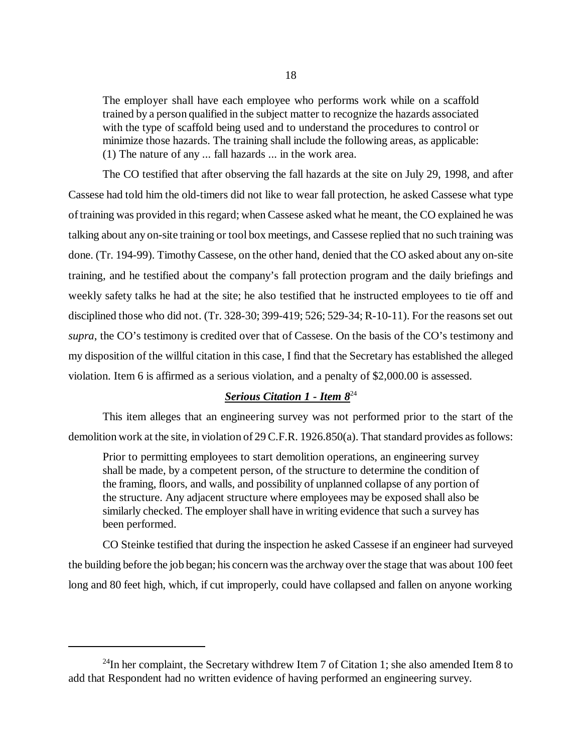The employer shall have each employee who performs work while on a scaffold trained by a person qualified in the subject matter to recognize the hazards associated with the type of scaffold being used and to understand the procedures to control or minimize those hazards. The training shall include the following areas, as applicable: (1) The nature of any ... fall hazards ... in the work area.

The CO testified that after observing the fall hazards at the site on July 29, 1998, and after Cassese had told him the old-timers did not like to wear fall protection, he asked Cassese what type of training was provided in this regard; when Cassese asked what he meant, the CO explained he was talking about any on-site training or tool box meetings, and Cassese replied that no such training was done. (Tr. 194-99). Timothy Cassese, on the other hand, denied that the CO asked about any on-site training, and he testified about the company's fall protection program and the daily briefings and weekly safety talks he had at the site; he also testified that he instructed employees to tie off and disciplined those who did not. (Tr. 328-30; 399-419; 526; 529-34; R-10-11). For the reasons set out *supra*, the CO's testimony is credited over that of Cassese. On the basis of the CO's testimony and my disposition of the willful citation in this case, I find that the Secretary has established the alleged violation. Item 6 is affirmed as a serious violation, and a penalty of \$2,000.00 is assessed.

# *Serious Citation 1 - Item 8*<sup>24</sup>

This item alleges that an engineering survey was not performed prior to the start of the demolition work at the site, in violation of 29 C.F.R. 1926.850(a). That standard provides as follows:

Prior to permitting employees to start demolition operations, an engineering survey shall be made, by a competent person, of the structure to determine the condition of the framing, floors, and walls, and possibility of unplanned collapse of any portion of the structure. Any adjacent structure where employees may be exposed shall also be similarly checked. The employer shall have in writing evidence that such a survey has been performed.

CO Steinke testified that during the inspection he asked Cassese if an engineer had surveyed the building before the job began; his concern was the archway over the stage that was about 100 feet long and 80 feet high, which, if cut improperly, could have collapsed and fallen on anyone working

 $^{24}$ In her complaint, the Secretary withdrew Item 7 of Citation 1; she also amended Item 8 to add that Respondent had no written evidence of having performed an engineering survey.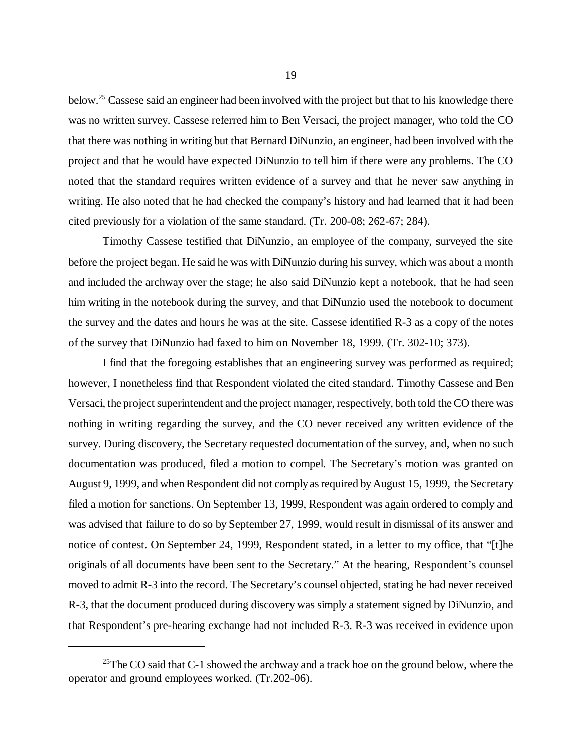below.25 Cassese said an engineer had been involved with the project but that to his knowledge there was no written survey. Cassese referred him to Ben Versaci, the project manager, who told the CO that there was nothing in writing but that Bernard DiNunzio, an engineer, had been involved with the project and that he would have expected DiNunzio to tell him if there were any problems. The CO noted that the standard requires written evidence of a survey and that he never saw anything in writing. He also noted that he had checked the company's history and had learned that it had been cited previously for a violation of the same standard. (Tr. 200-08; 262-67; 284).

Timothy Cassese testified that DiNunzio, an employee of the company, surveyed the site before the project began. He said he was with DiNunzio during his survey, which was about a month and included the archway over the stage; he also said DiNunzio kept a notebook, that he had seen him writing in the notebook during the survey, and that DiNunzio used the notebook to document the survey and the dates and hours he was at the site. Cassese identified R-3 as a copy of the notes of the survey that DiNunzio had faxed to him on November 18, 1999. (Tr. 302-10; 373).

I find that the foregoing establishes that an engineering survey was performed as required; however, I nonetheless find that Respondent violated the cited standard. Timothy Cassese and Ben Versaci, the project superintendent and the project manager, respectively, both told the CO there was nothing in writing regarding the survey, and the CO never received any written evidence of the survey. During discovery, the Secretary requested documentation of the survey, and, when no such documentation was produced, filed a motion to compel. The Secretary's motion was granted on August 9, 1999, and when Respondent did not comply as required by August 15, 1999, the Secretary filed a motion for sanctions. On September 13, 1999, Respondent was again ordered to comply and was advised that failure to do so by September 27, 1999, would result in dismissal of its answer and notice of contest. On September 24, 1999, Respondent stated, in a letter to my office, that "[t]he originals of all documents have been sent to the Secretary." At the hearing, Respondent's counsel moved to admit R-3 into the record. The Secretary's counsel objected, stating he had never received R-3, that the document produced during discovery was simply a statement signed by DiNunzio, and that Respondent's pre-hearing exchange had not included R-3. R-3 was received in evidence upon

<sup>&</sup>lt;sup>25</sup>The CO said that C-1 showed the archway and a track hoe on the ground below, where the operator and ground employees worked. (Tr.202-06).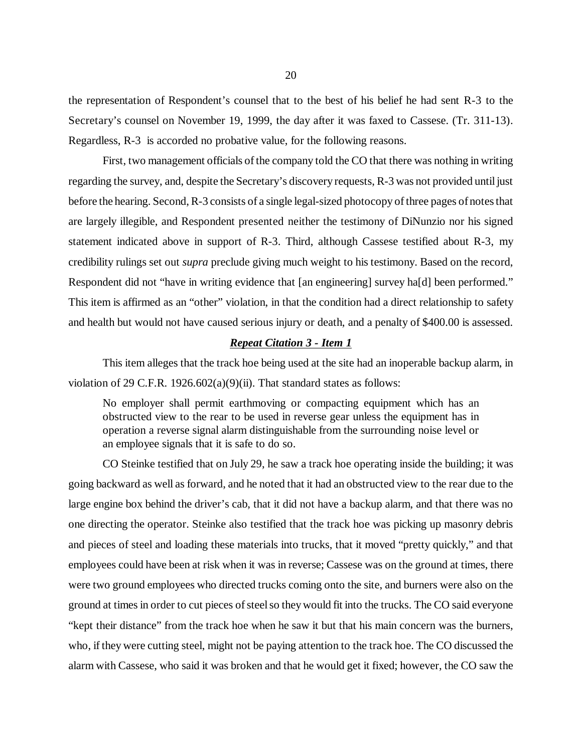the representation of Respondent's counsel that to the best of his belief he had sent R-3 to the Secretary's counsel on November 19, 1999, the day after it was faxed to Cassese. (Tr. 311-13). Regardless, R-3 is accorded no probative value, for the following reasons.

First, two management officials of the company told the CO that there was nothing in writing regarding the survey, and, despite the Secretary's discovery requests, R-3 was not provided until just before the hearing. Second, R-3 consists of a single legal-sized photocopy of three pages of notes that are largely illegible, and Respondent presented neither the testimony of DiNunzio nor his signed statement indicated above in support of R-3. Third, although Cassese testified about R-3, my credibility rulings set out *supra* preclude giving much weight to his testimony. Based on the record, Respondent did not "have in writing evidence that [an engineering] survey ha[d] been performed." This item is affirmed as an "other" violation, in that the condition had a direct relationship to safety and health but would not have caused serious injury or death, and a penalty of \$400.00 is assessed.

#### *Repeat Citation 3 - Item 1*

This item alleges that the track hoe being used at the site had an inoperable backup alarm, in violation of 29 C.F.R. 1926.602(a)(9)(ii). That standard states as follows:

No employer shall permit earthmoving or compacting equipment which has an obstructed view to the rear to be used in reverse gear unless the equipment has in operation a reverse signal alarm distinguishable from the surrounding noise level or an employee signals that it is safe to do so.

CO Steinke testified that on July 29, he saw a track hoe operating inside the building; it was going backward as well as forward, and he noted that it had an obstructed view to the rear due to the large engine box behind the driver's cab, that it did not have a backup alarm, and that there was no one directing the operator. Steinke also testified that the track hoe was picking up masonry debris and pieces of steel and loading these materials into trucks, that it moved "pretty quickly," and that employees could have been at risk when it was in reverse; Cassese was on the ground at times, there were two ground employees who directed trucks coming onto the site, and burners were also on the ground at times in order to cut pieces of steel so they would fit into the trucks. The CO said everyone "kept their distance" from the track hoe when he saw it but that his main concern was the burners, who, if they were cutting steel, might not be paying attention to the track hoe. The CO discussed the alarm with Cassese, who said it was broken and that he would get it fixed; however, the CO saw the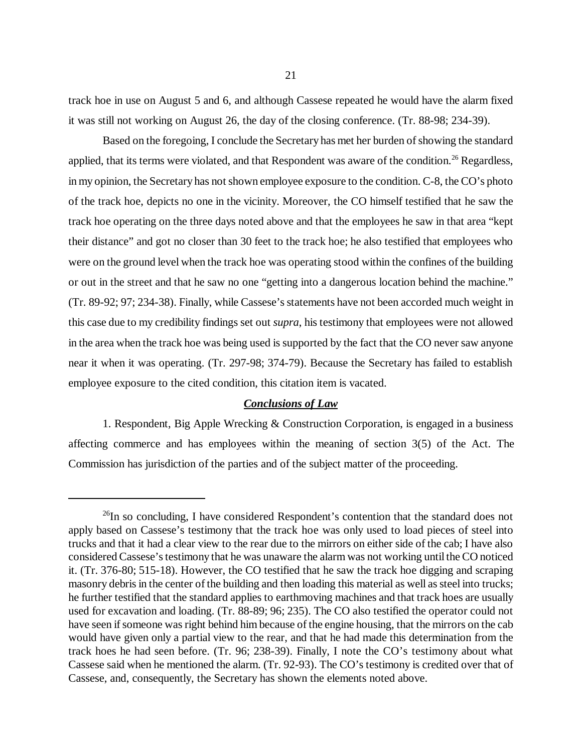track hoe in use on August 5 and 6, and although Cassese repeated he would have the alarm fixed it was still not working on August 26, the day of the closing conference. (Tr. 88-98; 234-39).

Based on the foregoing, I conclude the Secretary has met her burden of showing the standard applied, that its terms were violated, and that Respondent was aware of the condition.<sup>26</sup> Regardless, in my opinion, the Secretary has not shown employee exposure to the condition. C-8, the CO's photo of the track hoe, depicts no one in the vicinity. Moreover, the CO himself testified that he saw the track hoe operating on the three days noted above and that the employees he saw in that area "kept their distance" and got no closer than 30 feet to the track hoe; he also testified that employees who were on the ground level when the track hoe was operating stood within the confines of the building or out in the street and that he saw no one "getting into a dangerous location behind the machine." (Tr. 89-92; 97; 234-38). Finally, while Cassese's statements have not been accorded much weight in this case due to my credibility findings set out *supra*, his testimony that employees were not allowed in the area when the track hoe was being used is supported by the fact that the CO never saw anyone near it when it was operating. (Tr. 297-98; 374-79). Because the Secretary has failed to establish employee exposure to the cited condition, this citation item is vacated.

### *Conclusions of Law*

1. Respondent, Big Apple Wrecking & Construction Corporation, is engaged in a business affecting commerce and has employees within the meaning of section 3(5) of the Act. The Commission has jurisdiction of the parties and of the subject matter of the proceeding.

 $^{26}$ In so concluding, I have considered Respondent's contention that the standard does not apply based on Cassese's testimony that the track hoe was only used to load pieces of steel into trucks and that it had a clear view to the rear due to the mirrors on either side of the cab; I have also considered Cassese's testimony that he was unaware the alarm was not working until the CO noticed it. (Tr. 376-80; 515-18). However, the CO testified that he saw the track hoe digging and scraping masonry debris in the center of the building and then loading this material as well as steel into trucks; he further testified that the standard applies to earthmoving machines and that track hoes are usually used for excavation and loading. (Tr. 88-89; 96; 235). The CO also testified the operator could not have seen if someone was right behind him because of the engine housing, that the mirrors on the cab would have given only a partial view to the rear, and that he had made this determination from the track hoes he had seen before. (Tr. 96; 238-39). Finally, I note the CO's testimony about what Cassese said when he mentioned the alarm. (Tr. 92-93). The CO's testimony is credited over that of Cassese, and, consequently, the Secretary has shown the elements noted above.